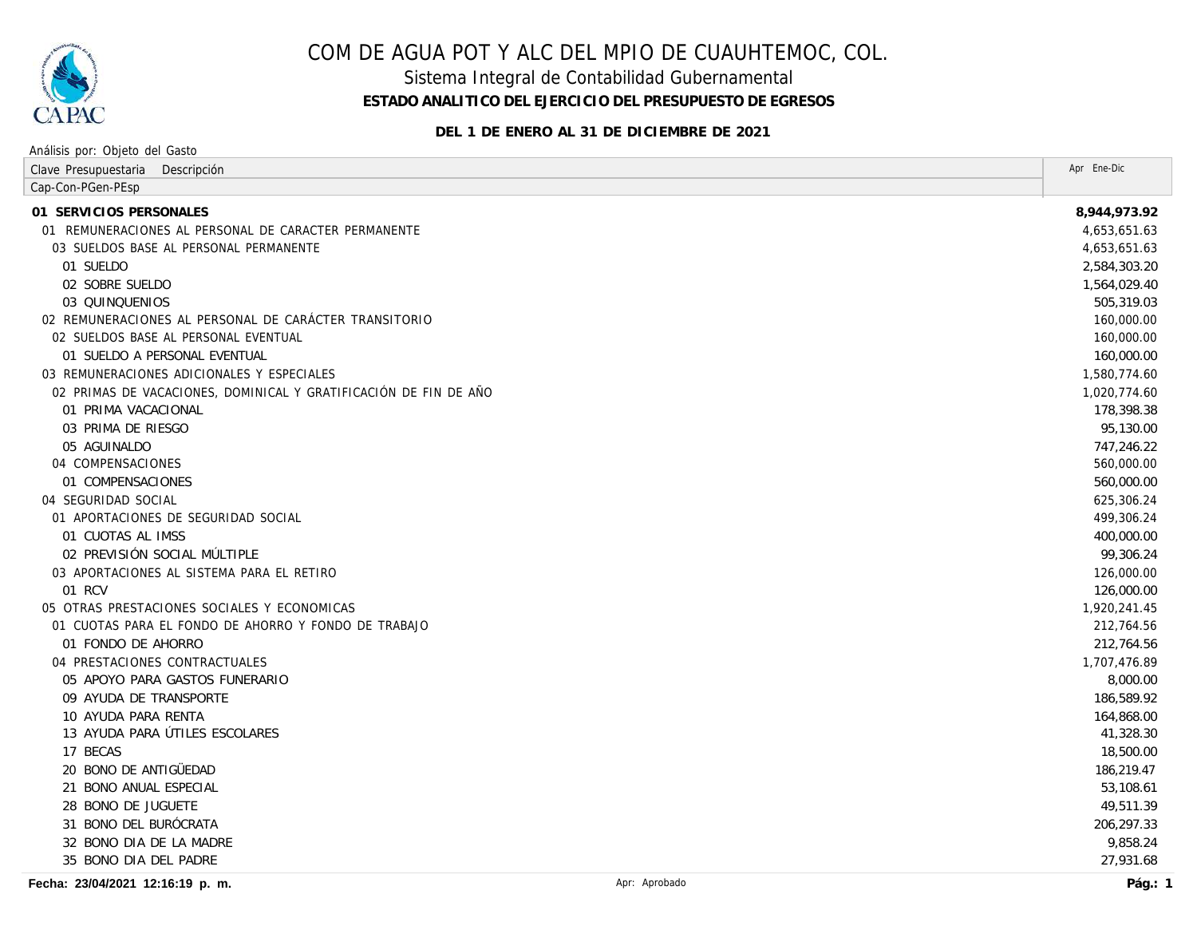

Sistema Integral de Contabilidad Gubernamental

**ESTADO ANALITICO DEL EJERCICIO DEL PRESUPUESTO DE EGRESOS**

**DEL 1 DE ENERO AL 31 DE DICIEMBRE DE 2021**

| Análisis por: Objeto del Gasto                                   |               |              |
|------------------------------------------------------------------|---------------|--------------|
| Clave Presupuestaria<br>Descripción                              |               | Apr Ene-Dic  |
| Cap-Con-PGen-PEsp                                                |               |              |
| 01 SERVICIOS PERSONALES                                          |               | 8,944,973.92 |
| 01 REMUNERACIONES AL PERSONAL DE CARACTER PERMANENTE             |               | 4,653,651.63 |
| 03 SUELDOS BASE AL PERSONAL PERMANENTE                           |               | 4,653,651.63 |
| 01 SUELDO                                                        |               | 2,584,303.20 |
| 02 SOBRE SUELDO                                                  |               | 1,564,029.40 |
| 03 QUINQUENIOS                                                   |               | 505,319.03   |
| 02 REMUNERACIONES AL PERSONAL DE CARÁCTER TRANSITORIO            |               | 160,000.00   |
| 02 SUELDOS BASE AL PERSONAL EVENTUAL                             |               | 160,000.00   |
| 01 SUELDO A PERSONAL EVENTUAL                                    |               | 160,000.00   |
| 03 REMUNERACIONES ADICIONALES Y ESPECIALES                       |               | 1,580,774.60 |
| 02 PRIMAS DE VACACIONES, DOMINICAL Y GRATIFICACIÓN DE FIN DE AÑO |               | 1,020,774.60 |
| 01 PRIMA VACACIONAL                                              |               | 178,398.38   |
| 03 PRIMA DE RIESGO                                               |               | 95,130.00    |
| 05 AGUINALDO                                                     |               | 747,246.22   |
| 04 COMPENSACIONES                                                |               | 560,000.00   |
| 01 COMPENSACIONES                                                |               | 560,000.00   |
| 04 SEGURIDAD SOCIAL                                              |               | 625,306.24   |
| 01 APORTACIONES DE SEGURIDAD SOCIAL                              |               | 499,306.24   |
| 01 CUOTAS AL IMSS                                                |               | 400,000.00   |
| 02 PREVISIÓN SOCIAL MÚLTIPLE                                     |               | 99,306.24    |
| 03 APORTACIONES AL SISTEMA PARA EL RETIRO                        |               | 126,000.00   |
| 01 RCV                                                           |               | 126,000.00   |
| 05 OTRAS PRESTACIONES SOCIALES Y ECONOMICAS                      |               | 1,920,241.45 |
| 01 CUOTAS PARA EL FONDO DE AHORRO Y FONDO DE TRABAJO             |               | 212,764.56   |
| 01 FONDO DE AHORRO                                               |               | 212,764.56   |
| 04 PRESTACIONES CONTRACTUALES                                    |               | 1,707,476.89 |
| 05 APOYO PARA GASTOS FUNERARIO                                   |               | 8,000.00     |
| 09 AYUDA DE TRANSPORTE                                           |               | 186,589.92   |
| 10 AYUDA PARA RENTA                                              |               | 164,868.00   |
| 13 AYUDA PARA ÚTILES ESCOLARES                                   |               | 41,328.30    |
| 17 BECAS                                                         |               | 18,500.00    |
| 20 BONO DE ANTIGÜEDAD                                            |               | 186,219.47   |
| 21 BONO ANUAL ESPECIAL                                           |               | 53,108.61    |
| 28 BONO DE JUGUETE                                               |               | 49,511.39    |
| 31 BONO DEL BURÓCRATA                                            |               | 206,297.33   |
| 32 BONO DIA DE LA MADRE                                          |               | 9,858.24     |
| 35 BONO DIA DEL PADRE                                            |               | 27,931.68    |
| Fecha: 23/04/2021 12:16:19 p. m.                                 | Apr: Aprobado | Pág.: $1$    |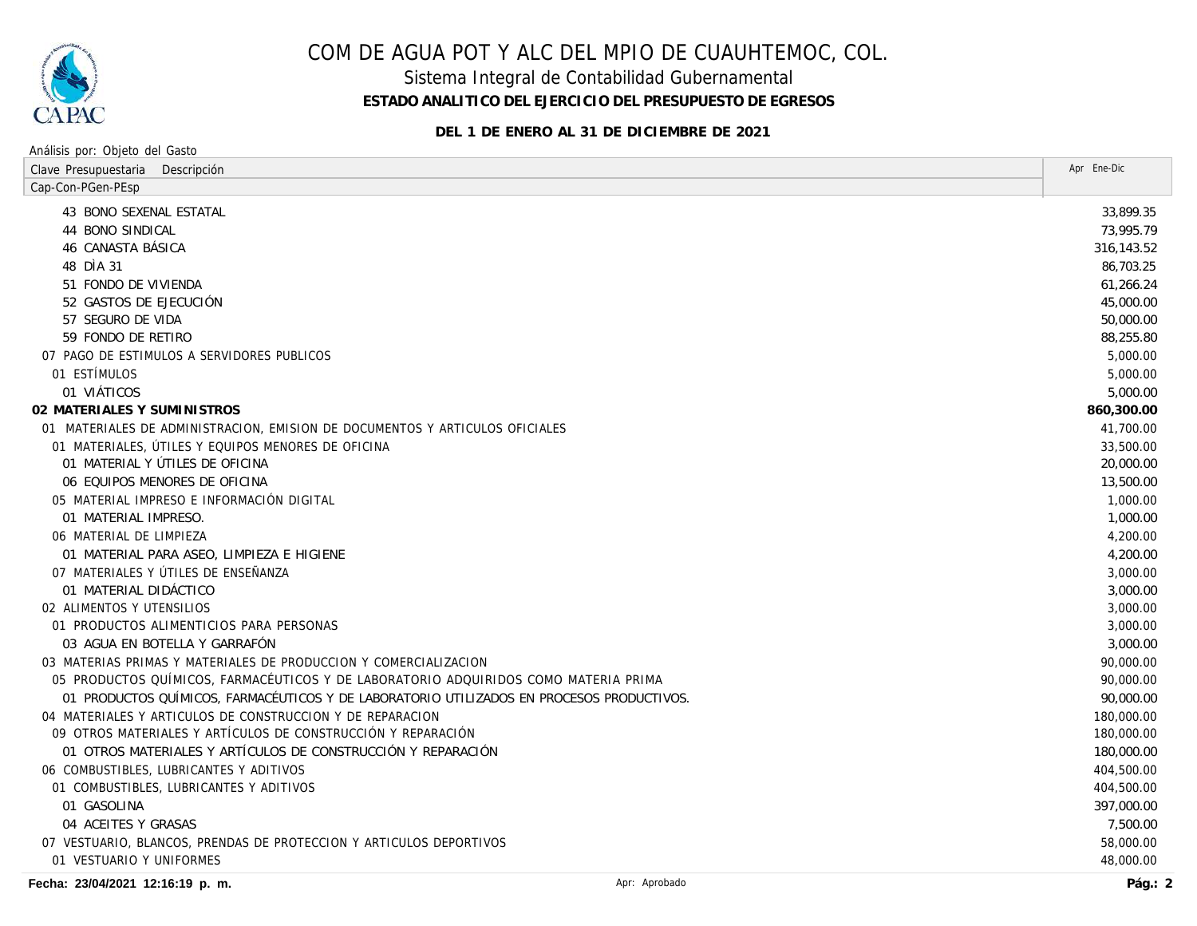

Sistema Integral de Contabilidad Gubernamental

**ESTADO ANALITICO DEL EJERCICIO DEL PRESUPUESTO DE EGRESOS**

**DEL 1 DE ENERO AL 31 DE DICIEMBRE DE 2021**

| Análisis por: Objeto del Gasto                                                            |             |  |
|-------------------------------------------------------------------------------------------|-------------|--|
| Clave Presupuestaria<br>Descripción                                                       | Apr Ene-Dic |  |
| Cap-Con-PGen-PEsp                                                                         |             |  |
| 43 BONO SEXENAL ESTATAL                                                                   | 33,899.35   |  |
| 44 BONO SINDICAL                                                                          | 73,995.79   |  |
| 46 CANASTA BÁSICA                                                                         | 316,143.52  |  |
| 48 DÌA 31                                                                                 | 86,703.25   |  |
| 51 FONDO DE VIVIENDA                                                                      | 61,266.24   |  |
| 52 GASTOS DE EJECUCIÓN                                                                    | 45,000.00   |  |
| 57 SEGURO DE VIDA                                                                         | 50,000.00   |  |
| 59 FONDO DE RETIRO                                                                        | 88,255.80   |  |
| 07 PAGO DE ESTIMULOS A SERVIDORES PUBLICOS                                                | 5,000.00    |  |
| 01 ESTÍMULOS                                                                              | 5,000.00    |  |
| 01 VIÁTICOS                                                                               | 5,000.00    |  |
| 02 MATERIALES Y SUMINISTROS                                                               | 860,300.00  |  |
| 01 MATERIALES DE ADMINISTRACION, EMISION DE DOCUMENTOS Y ARTICULOS OFICIALES              | 41,700.00   |  |
| 01 MATERIALES, ÚTILES Y EQUIPOS MENORES DE OFICINA                                        | 33,500.00   |  |
| 01 MATERIAL Y ÚTILES DE OFICINA                                                           | 20,000.00   |  |
| 06 EQUIPOS MENORES DE OFICINA                                                             | 13,500.00   |  |
| 05 MATERIAL IMPRESO E INFORMACIÓN DIGITAL                                                 | 1,000.00    |  |
| 01 MATERIAL IMPRESO.                                                                      | 1,000.00    |  |
| 06 MATERIAL DE LIMPIEZA                                                                   | 4,200.00    |  |
| 01 MATERIAL PARA ASEO, LIMPIEZA E HIGIENE                                                 | 4,200.00    |  |
| 07 MATERIALES Y ÚTILES DE ENSEÑANZA                                                       | 3,000.00    |  |
| 01 MATERIAL DIDÁCTICO                                                                     | 3,000.00    |  |
| 02 ALIMENTOS Y UTENSILIOS                                                                 | 3,000.00    |  |
| 01 PRODUCTOS ALIMENTICIOS PARA PERSONAS                                                   | 3,000.00    |  |
| 03 AGUA EN BOTELLA Y GARRAFÓN                                                             | 3,000.00    |  |
| 03 MATERIAS PRIMAS Y MATERIALES DE PRODUCCION Y COMERCIALIZACION                          | 90,000.00   |  |
| 05 PRODUCTOS QUÍMICOS, FARMACÉUTICOS Y DE LABORATORIO ADQUIRIDOS COMO MATERIA PRIMA       | 90,000.00   |  |
| 01 PRODUCTOS QUÍMICOS, FARMACÉUTICOS Y DE LABORATORIO UTILIZADOS EN PROCESOS PRODUCTIVOS. | 90,000.00   |  |
| 04 MATERIALES Y ARTICULOS DE CONSTRUCCION Y DE REPARACION                                 | 180,000.00  |  |
| 09 OTROS MATERIALES Y ARTÍCULOS DE CONSTRUCCIÓN Y REPARACIÓN                              | 180,000.00  |  |
| 01 OTROS MATERIALES Y ARTÍCULOS DE CONSTRUCCIÓN Y REPARACIÓN                              | 180,000.00  |  |
| 06 COMBUSTIBLES, LUBRICANTES Y ADITIVOS                                                   | 404,500.00  |  |
| 01 COMBUSTIBLES, LUBRICANTES Y ADITIVOS                                                   | 404,500.00  |  |
| 01 GASOLINA                                                                               | 397,000.00  |  |
| 04 ACEITES Y GRASAS                                                                       | 7,500.00    |  |
| 07 VESTUARIO, BLANCOS, PRENDAS DE PROTECCION Y ARTICULOS DEPORTIVOS                       | 58,000.00   |  |
| 01 VESTUARIO Y UNIFORMES                                                                  | 48,000.00   |  |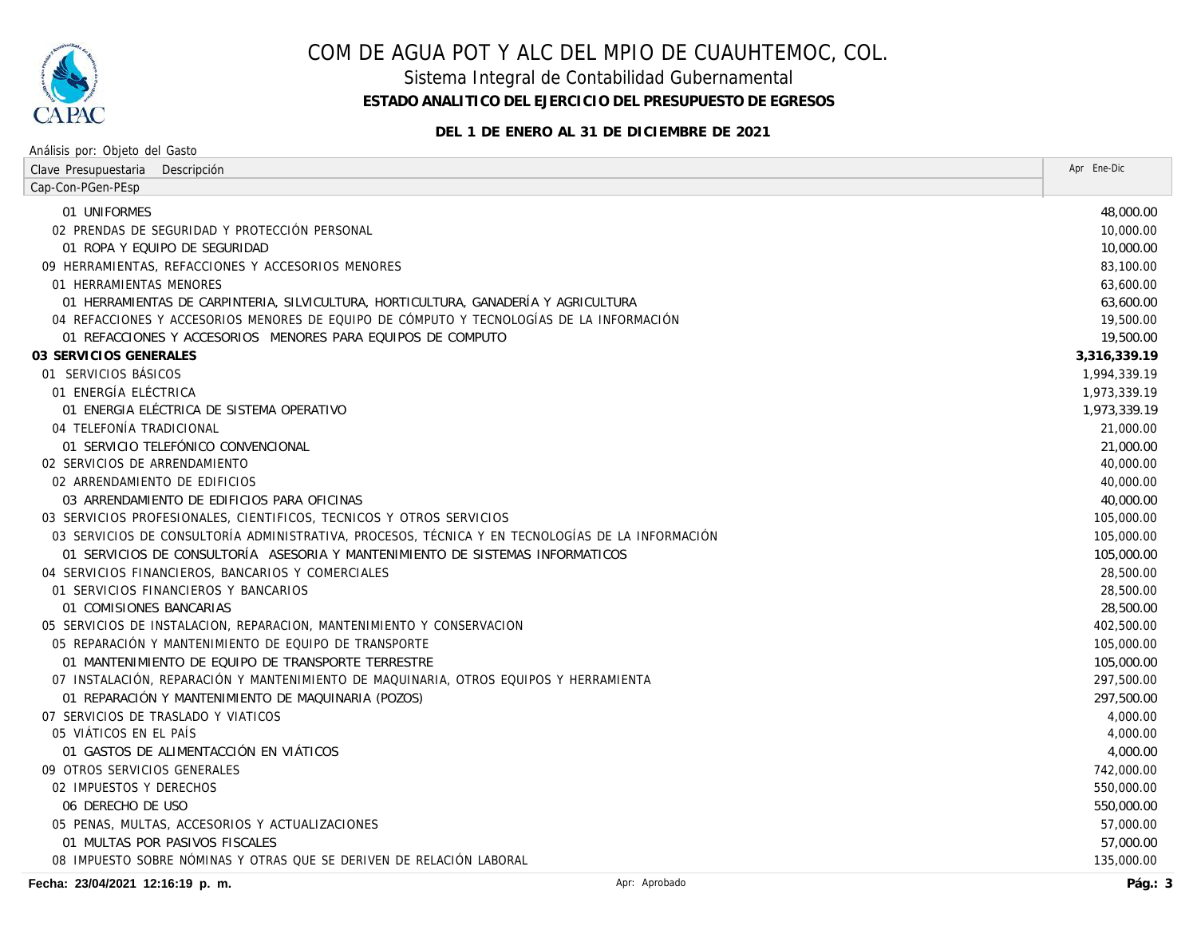

Sistema Integral de Contabilidad Gubernamental

**ESTADO ANALITICO DEL EJERCICIO DEL PRESUPUESTO DE EGRESOS**

**DEL 1 DE ENERO AL 31 DE DICIEMBRE DE 2021**

| Análisis por: Objeto del Gasto                                                                   |              |
|--------------------------------------------------------------------------------------------------|--------------|
| Clave Presupuestaria<br>Descripción                                                              | Apr Ene-Dic  |
| Cap-Con-PGen-PEsp                                                                                |              |
| 01 UNIFORMES                                                                                     | 48,000.00    |
| 02 PRENDAS DE SEGURIDAD Y PROTECCIÓN PERSONAL                                                    | 10,000.00    |
| 01 ROPA Y EQUIPO DE SEGURIDAD                                                                    | 10,000.00    |
| 09 HERRAMIENTAS, REFACCIONES Y ACCESORIOS MENORES                                                | 83,100.00    |
| 01 HERRAMIENTAS MENORES                                                                          | 63,600.00    |
| 01 HERRAMIENTAS DE CARPINTERIA, SILVICULTURA, HORTICULTURA, GANADERÍA Y AGRICULTURA              | 63,600.00    |
| 04 REFACCIONES Y ACCESORIOS MENORES DE EQUIPO DE CÓMPUTO Y TECNOLOGÍAS DE LA INFORMACIÓN         | 19,500.00    |
| 01 REFACCIONES Y ACCESORIOS MENORES PARA EQUIPOS DE COMPUTO                                      | 19,500.00    |
| 03 SERVICIOS GENERALES                                                                           | 3,316,339.19 |
| 01 SERVICIOS BÁSICOS                                                                             | 1,994,339.19 |
| 01 ENERGÍA ELÉCTRICA                                                                             | 1,973,339.19 |
| 01 ENERGIA ELÉCTRICA DE SISTEMA OPERATIVO                                                        | 1,973,339.19 |
| 04 TELEFONÍA TRADICIONAL                                                                         | 21,000.00    |
| 01 SERVICIO TELEFÓNICO CONVENCIONAL                                                              | 21,000.00    |
| 02 SERVICIOS DE ARRENDAMIENTO                                                                    | 40,000.00    |
| 02 ARRENDAMIENTO DE EDIFICIOS                                                                    | 40,000.00    |
| 03 ARRENDAMIENTO DE EDIFICIOS PARA OFICINAS                                                      | 40,000.00    |
| 03 SERVICIOS PROFESIONALES, CIENTIFICOS, TECNICOS Y OTROS SERVICIOS                              | 105,000.00   |
| 03 SERVICIOS DE CONSULTORÍA ADMINISTRATIVA, PROCESOS, TÉCNICA Y EN TECNOLOGÍAS DE LA INFORMACIÓN | 105,000.00   |
| 01 SERVICIOS DE CONSULTORÍA ASESORIA Y MANTENIMIENTO DE SISTEMAS INFORMATICOS                    | 105,000.00   |
| 04 SERVICIOS FINANCIEROS, BANCARIOS Y COMERCIALES                                                | 28,500.00    |
| 01 SERVICIOS FINANCIEROS Y BANCARIOS                                                             | 28,500.00    |
| 01 COMISIONES BANCARIAS                                                                          | 28,500.00    |
| 05 SERVICIOS DE INSTALACION, REPARACION, MANTENIMIENTO Y CONSERVACION                            | 402,500.00   |
| 05 REPARACIÓN Y MANTENIMIENTO DE EQUIPO DE TRANSPORTE                                            | 105,000.00   |
| 01 MANTENIMIENTO DE EQUIPO DE TRANSPORTE TERRESTRE                                               | 105,000.00   |
| 07 INSTALACIÓN, REPARACIÓN Y MANTENIMIENTO DE MAQUINARIA, OTROS EQUIPOS Y HERRAMIENTA            | 297,500.00   |
| 01 REPARACIÓN Y MANTENIMIENTO DE MAQUINARIA (POZOS)                                              | 297,500.00   |
| 07 SERVICIOS DE TRASLADO Y VIATICOS                                                              | 4,000.00     |
| 05 VIÁTICOS EN EL PAÍS                                                                           | 4,000.00     |
| 01 GASTOS DE ALIMENTACCIÓN EN VIÁTICOS                                                           | 4,000.00     |
| 09 OTROS SERVICIOS GENERALES                                                                     | 742,000.00   |
| 02 IMPUESTOS Y DERECHOS                                                                          | 550,000.00   |
| 06 DERECHO DE USO                                                                                | 550,000.00   |
| 05 PENAS, MULTAS, ACCESORIOS Y ACTUALIZACIONES                                                   | 57,000.00    |
| 01 MULTAS POR PASIVOS FISCALES                                                                   | 57,000.00    |
| 08 IMPUESTO SOBRE NÓMINAS Y OTRAS QUE SE DERIVEN DE RELACIÓN LABORAL                             | 135,000.00   |